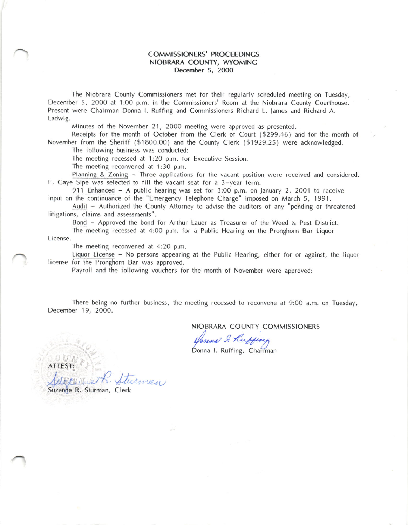## COMMISSIONERS' PROCEEDINGS NIOBRARA COUNTY, WYOMINC December 5, 2O0O

The Niobrara County Commissioners met for their regularly scheduled meeting on Tuesday, December 5, 2000 at 1:00 p.m. in the Commissioners' Room at the Niobrara County Courthouse. Present were Chairman Donna l. Ruffing and Commissioners Richard L. lames and Richard A. Ladwig.

Minutes of the November 21, 2000 meeting were approved as presented.

Receipts for the month of October from the Clerk of Court (\$299.46) and for the month of November from the Sheriff (\$1800.00) and the County Clerk (\$1929.25) were acknowledged.

The following business was conducted:

The meeting recessed at 1:20 p.m. for Executive Session.

The meeting reconvened at 1:30 p.m.

Planning & Zoning - Three applications for the vacant position were received and considered. F. Caye Sipe was selected to fill the vacant seat for a 3-year term.

911 Enhanced  $-$  A public hearing was set for 3:00 p.m. on January 2, 2001 to receive input on the continuance of the "Emergency Telephone Charge" imposed on March 5, 1991.

Audit - Authorized the County Attorney to advise the auditors of any "pending or threatened litigations, claims and assessments".

Bond - Approved the bond for Arthur Lauer as Treasurer of the Weed & Pest District.

The meeting recessed at 4:OO p.m. for a Public Hearing on the Pronghorn Bar Liquor License.

The meeting reconvened at 4:20 p.m.

Liquor License - No persons appearing at the Public Hearing, either for or against, the liquor license for the Pronghorn Bar was approved.

Payroll and the following vouchers for the month of November were approved:

There being no further business, the meeting recessed to reconvene at 9:00 a.m. on Tuesday, December 19, 2OO0.

NIOBRARA COUNTY COMMISSIONERS

Venna I. Kuffeng

Donna l. Ruffing, Chairman

ATTEST:

Suzanne R. Sturman, Clerk